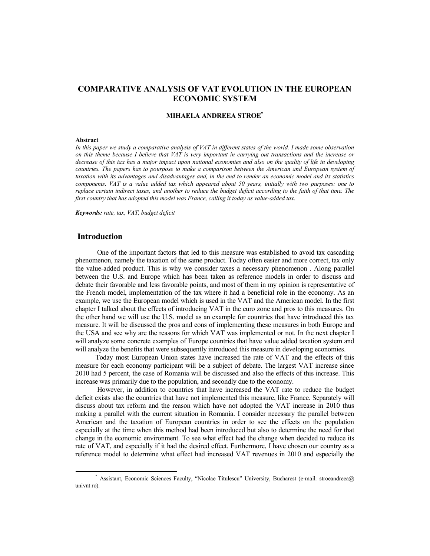# **COMPARATIVE ANALYSIS OF VAT EVOLUTION IN THE EUROPEAN ECONOMIC SYSTEM**

## **MIHAELA ANDREEA STROE\***

#### **Abstract**

*In this paper we study a comparative analysis of VAT in different states of the world. I made some observation on this theme because I believe that VAT is very important in carrying out transactions and the increase or decrease of this tax has a major impact upon national economies and also on the quality of life in developing countries. The papers has to pourpose to make a comparison between the American and European system of taxation with its advantages and disadvantages and, in the end to render an economic model and its statistics components. VAT is a value added tax which appeared about 50 years, initially with two purposes: one to replace certain indirect taxes, and another to reduce the budget deficit according to the faith of that time. The first country that has adopted this model was France, calling it today as value-added tax.* 

*Keywords: rate, tax, VAT, budget deficit* 

## **Introduction**

 One of the important factors that led to this measure was established to avoid tax cascading phenomenon, namely the taxation of the same product. Today often easier and more correct, tax only the value-added product. This is why we consider taxes a necessary phenomenon . Along parallel between the U.S. and Europe which has been taken as reference models in order to discuss and debate their favorable and less favorable points, and most of them in my opinion is representative of the French model, implementation of the tax where it had a beneficial role in the economy. As an example, we use the European model which is used in the VAT and the American model. In the first chapter I talked about the effects of introducing VAT in the euro zone and pros to this measures. On the other hand we will use the U.S. model as an example for countries that have introduced this tax measure. It will be discussed the pros and cons of implementing these measures in both Europe and the USA and see why are the reasons for which VAT was implemented or not. In the next chapter I will analyze some concrete examples of Europe countries that have value added taxation system and will analyze the benefits that were subsequently introduced this measure in developing economies.

Today most European Union states have increased the rate of VAT and the effects of this measure for each economy participant will be a subject of debate. The largest VAT increase since 2010 had 5 percent, the case of Romania will be discussed and also the effects of this increase. This increase was primarily due to the population, and secondly due to the economy.

 However, in addition to countries that have increased the VAT rate to reduce the budget deficit exists also the countries that have not implemented this measure, like France. Separately will discuss about tax reform and the reason which have not adopted the VAT increase in 2010 thus making a parallel with the current situation in Romania. I consider necessary the parallel between American and the taxation of European countries in order to see the effects on the population especially at the time when this method had been introduced but also to determine the need for that change in the economic environment. To see what effect had the change when decided to reduce its rate of VAT, and especially if it had the desired effect. Furthermore, I have chosen our country as a reference model to determine what effect had increased VAT revenues in 2010 and especially the

<sup>\*</sup> Assistant, Economic Sciences Faculty, "Nicolae Titulescu" University, Bucharest (e-mail: stroeandreea@ univnt ro).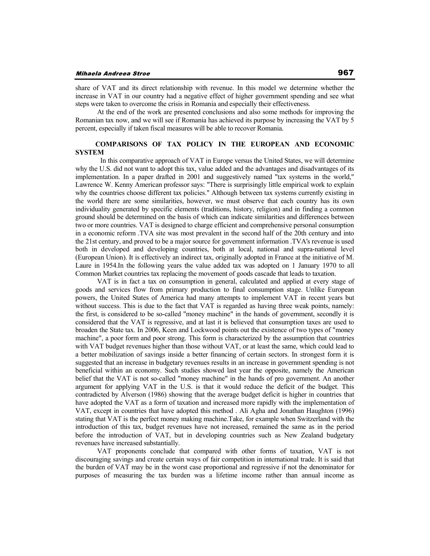share of VAT and its direct relationship with revenue. In this model we determine whether the increase in VAT in our country had a negative effect of higher government spending and see what steps were taken to overcome the crisis in Romania and especially their effectiveness.

 At the end of the work are presented conclusions and also some methods for improving the Romanian tax now, and we will see if Romania has achieved its purpose by increasing the VAT by 5 percent, especially if taken fiscal measures will be able to recover Romania.

## **COMPARISONS OF TAX POLICY IN THE EUROPEAN AND ECONOMIC SYSTEM**

In this comparative approach of VAT in Europe versus the United States, we will determine why the U.S. did not want to adopt this tax, value added and the advantages and disadvantages of its implementation. In a paper drafted in 2001 and suggestively named "tax systems in the world," Lawrence W. Kenny American professor says: "There is surprisingly little empirical work to explain why the countries choose different tax policies." Although between tax systems currently existing in the world there are some similarities, however, we must observe that each country has its own individuality generated by specific elements (traditions, history, religion) and in finding a common ground should be determined on the basis of which can indicate similarities and differences between two or more countries. VAT is designed to charge efficient and comprehensive personal consumption in a economic reform .TVA site was most prevalent in the second half of the 20th century and into the 21st century, and proved to be a major source for government information .TVA's revenue is used both in developed and developing countries, both at local, national and supra-national level (European Union). It is effectively an indirect tax, originally adopted in France at the initiative of M. Laure in 1954.In the following years the value added tax was adopted on 1 January 1970 to all Common Market countries tax replacing the movement of goods cascade that leads to taxation.

 VAT is in fact a tax on consumption in general, calculated and applied at every stage of goods and services flow from primary production to final consumption stage. Unlike European powers, the United States of America had many attempts to implement VAT in recent years but without success. This is due to the fact that VAT is regarded as having three weak points, namely: the first, is considered to be so-called "money machine" in the hands of government, secondly it is considered that the VAT is regressive, and at last it is believed that consumption taxes are used to broaden the State tax. In 2006, Keen and Lockwood points out the existence of two types of "money machine", a poor form and poor strong. This form is characterized by the assumption that countries with VAT budget revenues higher than those without VAT, or at least the same, which could lead to a better mobilization of savings inside a better financing of certain sectors. In strongest form it is suggested that an increase in budgetary revenues results in an increase in government spending is not beneficial within an economy. Such studies showed last year the opposite, namely the American belief that the VAT is not so-called "money machine" in the hands of pro government. An another argument for applying VAT in the U.S. is that it would reduce the deficit of the budget. This contradicted by Alverson (1986) showing that the average budget deficit is higher in countries that have adopted the VAT as a form of taxation and increased more rapidly with the implementation of VAT, except in countries that have adopted this method . Ali Agha and Jonathan Haughton (1996) stating that VAT is the perfect money making machine.Take, for example when Switzerland with the introduction of this tax, budget revenues have not increased, remained the same as in the period before the introduction of VAT, but in developing countries such as New Zealand budgetary revenues have increased substantially.

 VAT proponents conclude that compared with other forms of taxation, VAT is not discouraging savings and create certain ways of fair competition in international trade. It is said that the burden of VAT may be in the worst case proportional and regressive if not the denominator for purposes of measuring the tax burden was a lifetime income rather than annual income as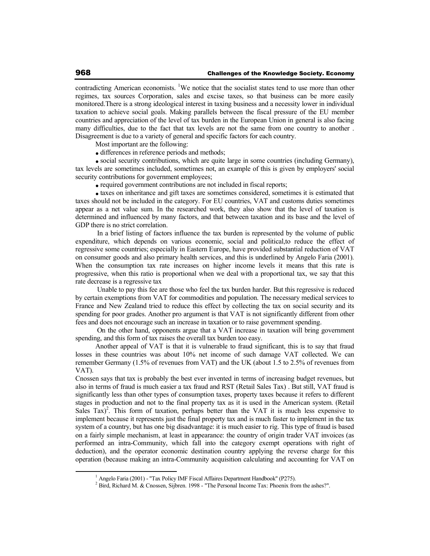contradicting American economists. <sup>1</sup>We notice that the socialist states tend to use more than other regimes, tax sources Corporation, sales and excise taxes, so that business can be more easily monitored.There is a strong ideological interest in taxing business and a necessity lower in individual taxation to achieve social goals. Making parallels between the fiscal pressure of the EU member countries and appreciation of the level of tax burden in the European Union in general is also facing many difficulties, due to the fact that tax levels are not the same from one country to another . Disagreement is due to a variety of general and specific factors for each country.

Most important are the following:

• differences in reference periods and methods;

social security contributions, which are quite large in some countries (including Germany), tax levels are sometimes included, sometimes not, an example of this is given by employers' social security contributions for government employees;

• required government contributions are not included in fiscal reports;

taxes on inheritance and gift taxes are sometimes considered, sometimes it is estimated that taxes should not be included in the category. For EU countries, VAT and customs duties sometimes appear as a net value sum. In the researched work, they also show that the level of taxation is determined and influenced by many factors, and that between taxation and its base and the level of GDP there is no strict correlation.

 In a brief listing of factors influence the tax burden is represented by the volume of public expenditure, which depends on various economic, social and political,to reduce the effect of regressive some countries; especially in Eastern Europe, have provided substantial reduction of VAT on consumer goods and also primary health services, and this is underlined by Angelo Faria (2001). When the consumption tax rate increases on higher income levels it means that this rate is progressive, when this ratio is proportional when we deal with a proportional tax, we say that this rate decrease is a regressive tax

 Unable to pay this fee are those who feel the tax burden harder. But this regressive is reduced by certain exemptions from VAT for commodities and population. The necessary medical services to France and New Zealand tried to reduce this effect by collecting the tax on social security and its spending for poor grades. Another pro argument is that VAT is not significantly different from other fees and does not encourage such an increase in taxation or to raise government spending.

 On the other hand, opponents argue that a VAT increase in taxation will bring government spending, and this form of tax raises the overall tax burden too easy.

Another appeal of VAT is that it is vulnerable to fraud significant, this is to say that fraud losses in these countries was about 10% net income of such damage VAT collected. We can remember Germany (1.5% of revenues from VAT) and the UK (about 1.5 to 2.5% of revenues from VAT).

Cnossen says that tax is probably the best ever invented in terms of increasing budget revenues, but also in terms of fraud is much easier a tax fraud and RST (Retail Sales Tax) . But still, VAT fraud is significantly less than other types of consumption taxes, property taxes because it refers to different stages in production and not to the final property tax as it is used in the American system. (Retail Sales  $Tax)^2$ . This form of taxation, perhaps better than the VAT it is much less expensive to implement because it represents just the final property tax and is much faster to implement in the tax system of a country, but has one big disadvantage: it is much easier to rig. This type of fraud is based on a fairly simple mechanism, at least in appearance: the country of origin trader VAT invoices (as performed an intra-Community, which fall into the category exempt operations with right of deduction), and the operator economic destination country applying the reverse charge for this operation (because making an intra-Community acquisition calculating and accounting for VAT on

<sup>&</sup>lt;sup>1</sup> Angelo Faria (2001) - "Tax Policy IMF Fiscal Affaires Department Handbook" (P275).

 $2^2$  Bird, Richard M. & Cnossen, Sijbren. 1998 - "The Personal Income Tax: Phoenix from the ashes?".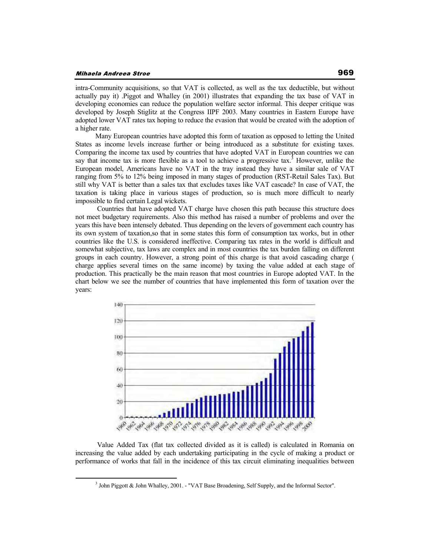intra-Community acquisitions, so that VAT is collected, as well as the tax deductible, but without actually pay it) .Piggot and Whalley (in 2001) illustrates that expanding the tax base of VAT in developing economies can reduce the population welfare sector informal. This deeper critique was developed by Joseph Stiglitz at the Congress IIPF 2003. Many countries in Eastern Europe have adopted lower VAT rates tax hoping to reduce the evasion that would be created with the adoption of a higher rate.

Many European countries have adopted this form of taxation as opposed to letting the United States as income levels increase further or being introduced as a substitute for existing taxes. Comparing the income tax used by countries that have adopted VAT in European countries we can say that income tax is more flexible as a tool to achieve a progressive tax.<sup>3</sup> However, unlike the European model, Americans have no VAT in the tray instead they have a similar sale of VAT ranging from 5% to 12% being imposed in many stages of production (RST-Retail Sales Tax). But still why VAT is better than a sales tax that excludes taxes like VAT cascade? In case of VAT, the taxation is taking place in various stages of production, so is much more difficult to nearly impossible to find certain Legal wickets.

 Countries that have adopted VAT charge have chosen this path because this structure does not meet budgetary requirements. Also this method has raised a number of problems and over the years this have been intensely debated. Thus depending on the levers of government each country has its own system of taxation,so that in some states this form of consumption tax works, but in other countries like the U.S. is considered ineffective. Comparing tax rates in the world is difficult and somewhat subjective, tax laws are complex and in most countries the tax burden falling on different groups in each country. However, a strong point of this charge is that avoid cascading charge ( charge applies several times on the same income) by taxing the value added at each stage of production. This practically be the main reason that most countries in Europe adopted VAT. In the chart below we see the number of countries that have implemented this form of taxation over the years:



 Value Added Tax (flat tax collected divided as it is called) is calculated in Romania on increasing the value added by each undertaking participating in the cycle of making a product or performance of works that fall in the incidence of this tax circuit eliminating inequalities between

<sup>&</sup>lt;sup>3</sup> John Piggott & John Whalley, 2001. - "VAT Base Broadening, Self Supply, and the Informal Sector".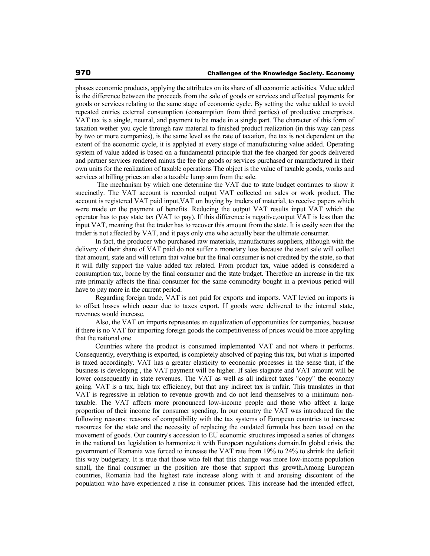phases economic products, applying the attributes on its share of all economic activities. Value added is the difference between the proceeds from the sale of goods or services and effectual payments for goods or services relating to the same stage of economic cycle. By setting the value added to avoid repeated entries external consumption (consumption from third parties) of productive enterprises. VAT tax is a single, neutral, and payment to be made in a single part. The character of this form of taxation wether you cycle through raw material to finished product realization (in this way can pass by two or more companies), is the same level as the rate of taxation, the tax is not dependent on the extent of the economic cycle, it is applyied at every stage of manufacturing value added. Operating system of value added is based on a fundamental principle that the fee charged for goods delivered and partner services rendered minus the fee for goods or services purchased or manufactured in their own units for the realization of taxable operations The object is the value of taxable goods, works and services at billing prices an also a taxable lump sum from the sale.

 The mechanism by which one determine the VAT due to state budget continues to show it succinctly. The VAT account is recorded output VAT collected on sales or work product. The account is registered VAT paid input,VAT on buying by traders of material, to receive papers which were made or the payment of benefits. Reducing the output VAT results input VAT which the operator has to pay state tax (VAT to pay). If this difference is negative,output VAT is less than the input VAT, meaning that the trader has to recover this amount from the state. It is easily seen that the trader is not affected by VAT, and it pays only one who actually bear the ultimate consumer.

In fact, the producer who purchased raw materials, manufactures suppliers, although with the delivery of their share of VAT paid do not suffer a monetary loss because the asset sale will collect that amount, state and will return that value but the final consumer is not credited by the state, so that it will fully support the value added tax related. From product tax, value added is considered a consumption tax, borne by the final consumer and the state budget. Therefore an increase in the tax rate primarily affects the final consumer for the same commodity bought in a previous period will have to pay more in the current period.

Regarding foreign trade, VAT is not paid for exports and imports. VAT levied on imports is to offset losses which occur due to taxes export. If goods were delivered to the internal state, revenues would increase.

Also, the VAT on imports representes an equalization of opportunities for companies, because if there is no VAT for importing foreign goods the competitiveness of prices would be more appyling that the national one

Countries where the product is consumed implemented VAT and not where it performs. Consequently, everything is exported, is completely absolved of paying this tax, but what is imported is taxed accordingly. VAT has a greater elasticity to economic processes in the sense that, if the business is developing , the VAT payment will be higher. If sales stagnate and VAT amount will be lower consequently in state revenues. The VAT as well as all indirect taxes "copy" the economy going. VAT is a tax, high tax efficiency, but that any indirect tax is unfair. This translates in that VAT is regressive in relation to revenue growth and do not lend themselves to a minimum nontaxable. The VAT affects more pronounced low-income people and those who affect a large proportion of their income for consumer spending. In our country the VAT was introduced for the following reasons: reasons of compatibility with the tax systems of European countries to increase resources for the state and the necessity of replacing the outdated formula has been taxed on the movement of goods. Our country's accession to EU economic structures imposed a series of changes in the national tax legislation to harmonize it with European regulations domain.In global crisis, the government of Romania was forced to increase the VAT rate from 19% to 24% to shrink the deficit this way budgetary. It is true that those who felt that this change was more low-income population small, the final consumer in the position are those that support this growth.Among European countries, Romania had the highest rate increase along with it and arousing discontent of the population who have experienced a rise in consumer prices. This increase had the intended effect,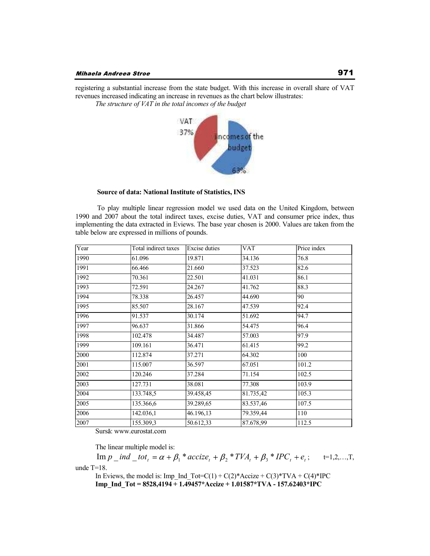registering a substantial increase from the state budget. With this increase in overall share of VAT revenues increased indicating an increase in revenues as the chart below illustrates:

*The structure of VAT in the total incomes of the budget*



 **Source of data: National Institute of Statistics, INS** 

 To play multiple linear regression model we used data on the United Kingdom, between 1990 and 2007 about the total indirect taxes, excise duties, VAT and consumer price index, thus implementing the data extracted in Eviews. The base year chosen is 2000. Values are taken from the table below are expressed in millions of pounds.

| Year | Total indirect taxes | <b>Excise</b> duties | <b>VAT</b> | Price index |
|------|----------------------|----------------------|------------|-------------|
| 1990 | 61.096               | 19.871               | 34.136     | 76.8        |
| 1991 | 66.466               | 21.660               | 37.523     | 82.6        |
| 1992 | 70.361               | 22.501               | 41.031     | 86.1        |
| 1993 | 72.591               | 24.267               | 41.762     | 88.3        |
| 1994 | 78.338               | 26.457               | 44.690     | 90          |
| 1995 | 85.507               | 28.167               | 47.539     | 92.4        |
| 1996 | 91.537               | 30.174               | 51.692     | 94.7        |
| 1997 | 96.637               | 31.866               | 54.475     | 96.4        |
| 1998 | 102.478              | 34.487               | 57.003     | 97.9        |
| 1999 | 109.161              | 36.471               | 61.415     | 99.2        |
| 2000 | 112.874              | 37.271               | 64.302     | 100         |
| 2001 | 115.007              | 36.597               | 67.051     | 101.2       |
| 2002 | 120.246              | 37.284               | 71.154     | 102.5       |
| 2003 | 127.731              | 38.081               | 77.308     | 103.9       |
| 2004 | 133.748,5            | 39.458,45            | 81.735,42  | 105.3       |
| 2005 | 135.366,6            | 39.289,65            | 83.537,46  | 107.5       |
| 2006 | 142.036,1            | 46.196,13            | 79.359,44  | 110         |
| 2007 | 155.309,3            | 50.612,33            | 87.678,99  | 112.5       |

Sursă: www.eurostat.com

The linear multiple model is:

 $\text{Im } p \_ \text{ind }_{-} \text{tot}_t = \alpha + \beta_1 * \text{accize}_t + \beta_2 * \text{TVA}_t + \beta_3 * \text{IPC}_t + e_t; \qquad \text{t=1,2,...,T},$ unde T=18.

In Eviews, the model is: Imp\_Ind\_Tot=C(1) + C(2)\*Accize + C(3)\*TVA + C(4)\*IPC **Imp\_Ind\_Tot = 8528,4194 + 1.49457\*Accize + 1.01587\*TVA - 157.62403\*IPC**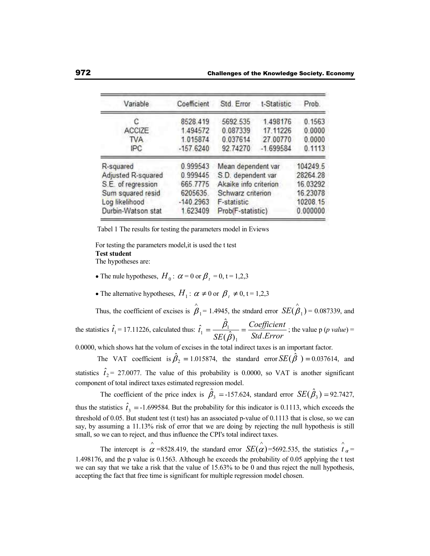| Variable           | Coefficient | Std. Error            | t-Statistic | Prob.    |
|--------------------|-------------|-----------------------|-------------|----------|
| С                  | 8528.419    | 5692.535              | 1.498176    | 0.1563   |
| ACCIZE             | 1.494572    | 0.087339              | 17.11226    | 0.0000   |
| <b>TVA</b>         | 1.015874    | 0.037614              | 27.00770    | 0.0000   |
| IPC                | $-157.6240$ | 92.74270              | $-1.699584$ | 0.1113   |
| R-squared          | 0.999543    | Mean dependent var    |             | 104249.5 |
| Adjusted R-squared | 0.999445    | S.D. dependent var    |             | 28264.28 |
| S.E. of regression | 665.7775    | Akaike info criterion |             | 16.03292 |
| Sum squared resid  | 6205635     | Schwarz criterion     |             | 16.23078 |
| Log likelihood     | $-140.2963$ | F-statistic           |             | 10208.15 |
| Durbin-Watson stat | 1.623409    | Prob(F-statistic)     |             | 0.000000 |

Tabel 1 The results for testing the parameters model in Eviews

For testing the parameters model,it is used the t test **Test student** The hypotheses are:

- The nule hypotheses,  $H_0$ :  $\alpha = 0$  or  $\beta_t = 0$ , t = 1,2,3
- The alternative hypotheses,  $H_1$ :  $\alpha \neq 0$  or  $\beta_t \neq 0$ , t = 1,2,3

Thus, the coefficient of excises is  $\beta_1 = 1.4945$ , the stndard error  $SE(\beta_1) = 0.087339$ , and the statistics  $\hat{t}_1 = 17.11226$ , calculated thus: *Std Error Coefficient SE t*  $\hat{(\beta)}_1$  Std. ˆ ˆ 1  $\frac{p_1}{p_1} = \frac{p_2}{\sqrt{p_1^2 + p_2^2}} = \frac{\sqrt{p_2^2 + p_1^2}}{2d}$ ; the value p (*p value*) =

0.0000, which shows hat the volum of excises in the total indirect taxes is an important factor.

The VAT coefficient is  $\hat{\beta}_2 = 1.015874$ , the standard error  $SE(\hat{\beta}) = 0.037614$ , and statistics  $\hat{t}_2$  = 27.0077. The value of this probability is 0.0000, so VAT is another significant component of total indirect taxes estimated regression model.

The coefficient of the price index is  $\hat{\beta}_3 = -157.624$ , standard error  $SE(\hat{\beta}_3) = 92.7427$ , thus the statistics  $\hat{t}_3 = -1.699584$ . But the probability for this indicator is 0.1113, which exceeds the threshold of 0.05. But student test (t test) has an associated p-value of 0.1113 that is close, so we can say, by assuming a 11.13% risk of error that we are doing by rejecting the null hypothesis is still small, so we can to reject, and thus influence the CPI's total indirect taxes.

The intercept is  $\alpha = 8528.419$ , the standard error *SE*( $\alpha$ )=5692.535, the statistics  $\hat{t}_{\alpha}$ = 1.498176, and the p value is 0.1563. Although he exceeds the probability of 0.05 applying the t test we can say that we take a risk that the value of 15.63% to be 0 and thus reject the null hypothesis, accepting the fact that free time is significant for multiple regression model chosen.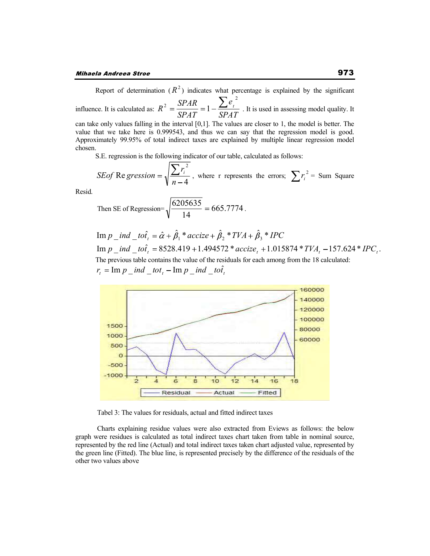Report of determination  $(R^2)$  indicates what percentage is explained by the significant influence. It is calculated as: *SPAT e SPAT*  $R^2 = \frac{SPAR}{SP_1R} = 1 - \frac{\sum e_i}{SP_1R}$ 2  $\frac{d^2}{dt^2} = \frac{\Delta T A R}{\Delta T} = 1 - \frac{\Delta T}{\Delta T}$ . It is used in assessing model quality. It can take only values falling in the interval [0,1]. The values are closer to 1, the model is better. The value that we take here is 0.999543, and thus we can say that the regression model is good. Approximately 99.95% of total indirect taxes are explained by multiple linear regression model chosen.

S.E. regression is the following indicator of our table, calculated as follows:

*SEof* Re *gression* = 
$$
\sqrt{\frac{\sum r_i^2}{n-4}}
$$
, where r represents the errors;  $\sum r_i^2$  = Sum Square

Resid.

Then SE of Regression=
$$
\sqrt{\frac{6205635}{14}}
$$
 = 665.7774.

 $\text{Im } p \_ \text{ind } \_ \text{to } \hat{a}_t = \hat{\alpha} + \hat{\beta}_1 \cdot \text{accize} + \hat{\beta}_2 \cdot \text{cTVA} + \hat{\beta}_3 \cdot \text{cPCC}$  $\text{Im } p \_ \text{ind } \_ \text{to} \hat{t}_t = 8528.419 + 1.494572 \cdot \text{accize}_t + 1.015874 \cdot \text{tr} \times TVA_t - 157.624 \cdot \text{tr} \times TCA_t$ The previous table contains the value of the residuals for each among from the 18 calculated:  $r_t = \text{Im } p \_ \text{ind } \_ \text{tot}_t - \text{Im } p \_ \text{ind } \_ \text{tot}_t$ 



Tabel 3: The values for residuals, actual and fitted indirect taxes

 Charts explaining residue values were also extracted from Eviews as follows: the below graph were residues is calculated as total indirect taxes chart taken from table in nominal source, represented by the red line (Actual) and total indirect taxes taken chart adjusted value, represented by the green line (Fitted). The blue line, is represented precisely by the difference of the residuals of the other two values above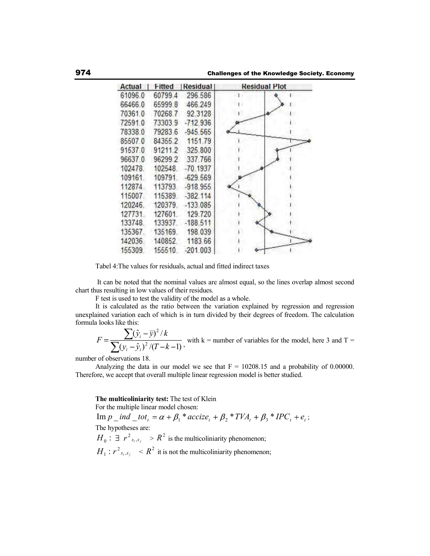| Fitted Residual<br>Actual |         |                 | <b>Residual Plot</b> |  |
|---------------------------|---------|-----------------|----------------------|--|
| 61096.0                   | 60799.4 | 296.586         |                      |  |
| 66466.0                   | 65999.8 | 466.249         |                      |  |
| 70361.0                   | 70268.7 | 92.3128         |                      |  |
| 72591.0                   | 733039  | $-712.936$      |                      |  |
| 78338.0                   | 79283.6 | $-945.565$      |                      |  |
| 85507.0                   |         | 84355.2 1151.79 |                      |  |
| 91537.0                   | 91211.2 | 325.800         |                      |  |
| 96637.0                   | 96299.2 | 337.766         |                      |  |
| 102478.                   | 102548  | $-70.1937$      |                      |  |
| 109161                    | 109791  | $-629.569$      |                      |  |
| 112874                    | 113793. | $-918.955$      |                      |  |
| 115007                    | 115389  | $-382.114$      |                      |  |
| 120246.                   | 120379. | $-133.085$      |                      |  |
| 127731.                   | 127601  | 129.720         |                      |  |
| 133748.                   | 133937  | $-188.511$      |                      |  |
| 135367                    | 135169  | 198.039         |                      |  |
| 142036                    | 140852. | 1183.66         |                      |  |
| 155309                    | 155510  | $-201.003$      |                      |  |

Tabel 4:The values for residuals, actual and fitted indirect taxes

 It can be noted that the nominal values are almost equal, so the lines overlap almost second chart thus resulting in low values of their residues.

F test is used to test the validity of the model as a whole.

It is calculated as the ratio between the variation explained by regression and regression unexplained variation each of which is in turn divided by their degrees of freedom. The calculation formula looks like this:

$$
F = \frac{\sum (\hat{y}_i - \bar{y})^2 / k}{\sum (y_i - \hat{y}_i)^2 / (T - k - 1)},
$$
 with k = number of variables for the model, here 3 and T =

number of observations 18.

Analyzing the data in our model we see that  $F = 10208.15$  and a probability of 0.00000. Therefore, we accept that overall multiple linear regression model is better studied.

**The multicoliniarity test:** The test of Klein

For the multiple linear model chosen:

 $\text{Im } p \text{ }_-$  *ind*  $\text{ }_-$  *tot*<sub>t</sub> =  $\alpha + \beta_1$  \* *accize*<sub>t</sub> +  $\beta_2$  \* *TVA*<sub>t</sub> +  $\beta_3$  \* *IPC*<sub>t</sub> +  $e_t$ ; The hypotheses are:  $H_0: \exists r^2_{x_i,x_j} > R^2$  is the multicoliniarity phenomenon;  $H_1: r^2_{x_i, x_j} \leq R^2$  it is not the multicoliniarity phenomenon;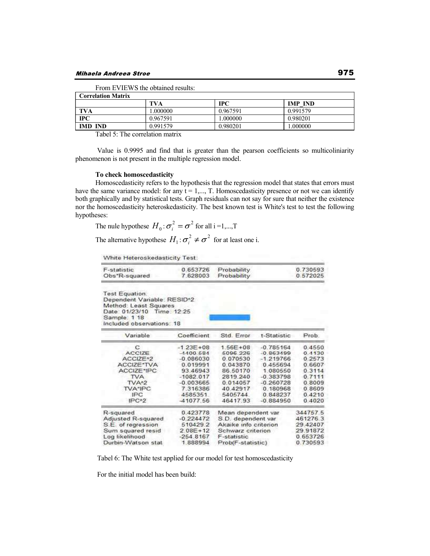| <b>Correlation Matrix</b> |          |            |                |  |
|---------------------------|----------|------------|----------------|--|
|                           | TVA      | <b>IPC</b> | <b>IMP IND</b> |  |
| TVA                       | .000000  | 0.967591   | 0.991579       |  |
| $\bf{IPC}$                | 0.967591 | .000000    | 0.980201       |  |
| <b>IMD IND</b>            | 0.991579 | 0.980201   | .000000        |  |

From EVIEWS the obtained results:

Tabel 5: The correlation matrix

 Value is 0.9995 and find that is greater than the pearson coefficients so multicoliniarity phenomenon is not present in the multiple regression model.

### **To check homoscedasticity**

Homoscedasticity refers to the hypothesis that the regression model that states that errors must have the same variance model: for any  $t = 1, \ldots, T$ . Homoscedasticity presence or not we can identify both graphically and by statistical tests. Graph residuals can not say for sure that neither the existence nor the homoscedasticity heteroskedasticity. The best known test is White's test to test the following hypotheses:

The rule hypotheses 
$$
H_0: \sigma_i^2 = \sigma^2
$$
 for all  $i = 1,...,T$ 

The alternative hypothese  $H_1: \sigma_i^2 \neq \sigma^2$  $i \neq \sigma^2$  for at least one i.

White Heteroskedasticity Test:

| F-statistic   | 0.653726 Probability | 0.730593 |
|---------------|----------------------|----------|
| Obs"R-squared | 7.628003 Probability | 0 572025 |

Test Equation. Dependent Variable: RESID\*2 Method: Least Squares Date: 01/23/10 Time: 12:25 Sample. 1 18<br>Included observations: 18

| Variable             | Coefficient  | Std. Error            | t-Statistic | Prob:    |
|----------------------|--------------|-----------------------|-------------|----------|
| с                    | $-123E+08$   | 1.56E+08              | $-0.785164$ | 0.4550   |
| <b>ACCIZE</b>        | $-4400584$   | 5096 226              | $-0.863499$ | 0.4130   |
| ACCIZE <sup>^2</sup> | $-0.086030$  | 0.070530              | $-1.219766$ | 0.2573   |
| ACCIZE*TVA           | 0.019991     | 0.043870              | 0.455694    | 0.6607   |
| ACCIZE*IPC           | 93.46943     | 86.50170              | 1.080550    | 0.3114   |
| <b>TVA</b>           | $-1082.017$  | 2819.240              | $-0.383798$ | 0.7111   |
| TVA <sub>2</sub>     | $-0.003665$  | 0.014057              | $-0.260728$ | 0.8009   |
| TVA*IPC              | 7.316386     | 40 42917              | 0.180968    | 0.8609   |
| <b>IPC</b>           | 4585351      | 5405744               | 0.848237    | 0.4210   |
| IPC <sub>2</sub>     | 41077.56     | 46417.93              | $-0.884950$ | 0.4020   |
| R-squared            | 0.423778     | Mean dependent var    |             | 344757.5 |
| Adjusted R-squared   | $-0.224472$  | S.D. dependent var.   |             | 461276.3 |
| S.E. of regression   | 510429.2     | Akaike info criterion |             | 29.42407 |
| Sum squared resid    | $2.08E + 12$ | Schwarz criterion     |             | 29.91872 |
| Log likelihood       | $-254.8167$  | F-statistic           |             | 0 653726 |
| Durbin-Watson stat   | 1888994      | Prob(F-statistic)     |             | 0.730593 |

Tabel 6: The White test applied for our model for test homoscedasticity

For the initial model has been build: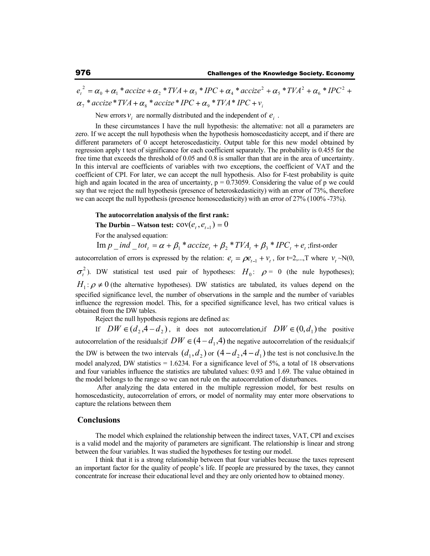$\sigma_{\tau}$  \* accize \* TVA +  $\alpha_{\rm s}$  \* accize \* IPC +  $\alpha_{\rm s}$  \* TVA \* IPC +  $\nu_{\rm i}$  $e_t^2 = \alpha_0 + \alpha_1 * accize + \alpha_2 * TVA + \alpha_3 * IPC + \alpha_4 * accize^2 + \alpha_5 * TVA^2 + \alpha_6 * IPC^2$ 2

New errors  $v_i$  are normally distributed and the independent of  $e_i$ .

In these circumstances I have the null hypothesis: the alternative: not all  $\alpha$  parameters are zero. If we accept the null hypothesis when the hypothesis homoscedasticity accept, and if there are different parameters of 0 accept heteroscedasticity. Output table for this new model obtained by regression apply t test of significance for each coefficient separately. The probability is 0.455 for the free time that exceeds the threshold of 0.05 and 0.8 is smaller than that are in the area of uncertainty. In this interval are coefficients of variables with two exceptions, the coefficient of VAT and the coefficient of CPI. For later, we can accept the null hypothesis. Also for F-test probability is quite high and again located in the area of uncertainty,  $p = 0.73059$ . Considering the value of p we could say that we reject the null hypothesis (presence of heteroskedasticity) with an error of 73%, therefore we can accept the null hypothesis (presence homoscedasticity) with an error of 27% (100% -73%).

#### **The autocorrelation analysis of the first rank:**

**The Durbin – Watson test:**  $cov(e_t, e_{t-1}) = 0$ 

For the analysed equation:

 $\text{Im } p \_ \text{ind } \_ \text{tot}_t = \alpha + \beta_1^* \cdot accize_t + \beta_2^* \cdot \text{TVA}_t + \beta_3^* \cdot \text{IPC}_t + e_t^*; \text{first-order}$ 

autocorrelation of errors is expressed by the relation:  $e_t = \rho e_{t-1} + v_t$ , for t=2,...,T where  $v_t \sim N(0, t)$ 2 <sup>2</sup>). DW statistical test used pair of hypotheses:  $H_0$ :  $\rho = 0$  (the nule hypotheses);  $H_1$ :  $\rho \neq 0$  (the alternative hypotheses). DW statistics are tabulated, its values depend on the specified significance level, the number of observations in the sample and the number of variables influence the regression model. This, for a specified significance level, has two critical values is obtained from the DW tables.

Reject the null hypothesis regions are defined as:

If  $DW \in (d_2, 4 - d_2)$ , it does not autocorrelation,if  $DW \in (0, d_1)$  the positive autocorrelation of the residuals;if  $DW \in (4-d_1, 4)$  the negative autocorrelation of the residuals;if the DW is between the two intervals  $(d_1, d_2)$  or  $(4-d_2, 4-d_1)$  the test is not conclusive.In the model analyzed, DW statistics =  $1.6234$ . For a significance level of 5%, a total of 18 observations and four variables influence the statistics are tabulated values: 0.93 and 1.69. The value obtained in the model belongs to the range so we can not rule on the autocorrelation of disturbances.

After analyzing the data entered in the multiple regression model, for best results on homoscedasticity, autocorrelation of errors, or model of normality may enter more observations to capture the relations between them

### **Conclusions**

The model which explained the relationship between the indirect taxes, VAT, CPI and excises is a valid model and the majority of parameters are significant. The relationship is linear and strong between the four variables. It was studied the hypotheses for testing our model.

I think that it is a strong relationship between that four variables because the taxes represent an important factor for the quality of people's life. If people are pressured by the taxes, they cannot concentrate for increase their educational level and they are only oriented how to obtained money.